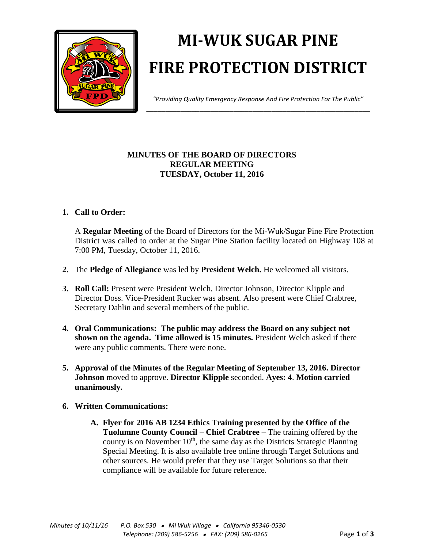

# **MI-WUK SUGAR PINE FIRE PROTECTION DISTRICT**

*"Providing Quality Emergency Response And Fire Protection For The Public"* \_\_\_\_\_\_\_\_\_\_\_\_\_\_\_\_\_\_\_\_\_\_\_\_\_\_\_\_\_\_\_\_\_\_\_\_\_\_\_\_\_\_\_\_\_\_\_\_\_\_\_\_\_\_\_\_\_\_\_

## **MINUTES OF THE BOARD OF DIRECTORS REGULAR MEETING TUESDAY, October 11, 2016**

## **1. Call to Order:**

A **Regular Meeting** of the Board of Directors for the Mi-Wuk/Sugar Pine Fire Protection District was called to order at the Sugar Pine Station facility located on Highway 108 at 7:00 PM, Tuesday, October 11, 2016.

- **2.** The **Pledge of Allegiance** was led by **President Welch.** He welcomed all visitors.
- **3. Roll Call:** Present were President Welch, Director Johnson, Director Klipple and Director Doss. Vice-President Rucker was absent. Also present were Chief Crabtree, Secretary Dahlin and several members of the public.
- **4. Oral Communications: The public may address the Board on any subject not shown on the agenda. Time allowed is 15 minutes.** President Welch asked if there were any public comments. There were none.
- **5. Approval of the Minutes of the Regular Meeting of September 13, 2016. Director Johnson** moved to approve. **Director Klipple** seconded. **Ayes: 4**. **Motion carried unanimously.**
- **6. Written Communications:** 
	- **A. Flyer for 2016 AB 1234 Ethics Training presented by the Office of the Tuolumne County Council – Chief Crabtree –** The training offered by the county is on November  $10<sup>th</sup>$ , the same day as the Districts Strategic Planning Special Meeting. It is also available free online through Target Solutions and other sources. He would prefer that they use Target Solutions so that their compliance will be available for future reference.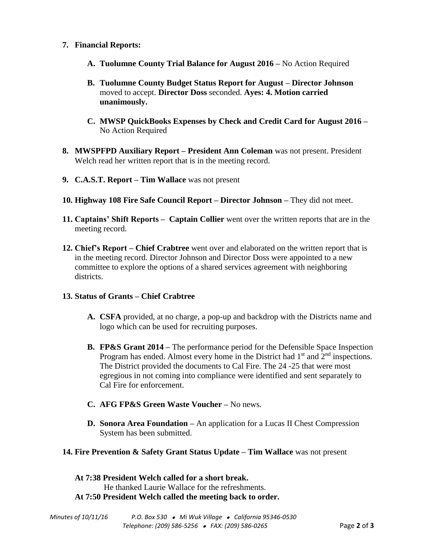- **7. Financial Reports:**
	- **A. Tuolumne County Trial Balance for August 2016 –** No Action Required
	- **B. Tuolumne County Budget Status Report for August – Director Johnson** moved to accept. **Director Doss** seconded. **Ayes: 4. Motion carried unanimously.**
	- **C. MWSP QuickBooks Expenses by Check and Credit Card for August 2016 –** No Action Required
- **8. MWSPFPD Auxiliary Report – President Ann Coleman** was not present. President Welch read her written report that is in the meeting record.
- **9. C.A.S.T. Report – Tim Wallace** was not present
- **10. Highway 108 Fire Safe Council Report – Director Johnson –** They did not meet.
- **11. Captains' Shift Reports – Captain Collier** went over the written reports that are in the meeting record.
- **12. Chief's Report – Chief Crabtree** went over and elaborated on the written report that is in the meeting record. Director Johnson and Director Doss were appointed to a new committee to explore the options of a shared services agreement with neighboring districts.

### **13. Status of Grants – Chief Crabtree**

- **A. CSFA** provided, at no charge, a pop-up and backdrop with the Districts name and logo which can be used for recruiting purposes.
- **B. FP&S Grant 2014 –** The performance period for the Defensible Space Inspection Program has ended. Almost every home in the District had  $1<sup>st</sup>$  and  $2<sup>nd</sup>$  inspections. The District provided the documents to Cal Fire. The 24 -25 that were most egregious in not coming into compliance were identified and sent separately to Cal Fire for enforcement.
- **C. AFG FP&S Green Waste Voucher –** No news.
- **D. Sonora Area Foundation –** An application for a Lucas II Chest Compression System has been submitted.

### **14. Fire Prevention & Safety Grant Status Update – Tim Wallace** was not present

**At 7:38 President Welch called for a short break.** He thanked Laurie Wallace for the refreshments. **At 7:50 President Welch called the meeting back to order.**